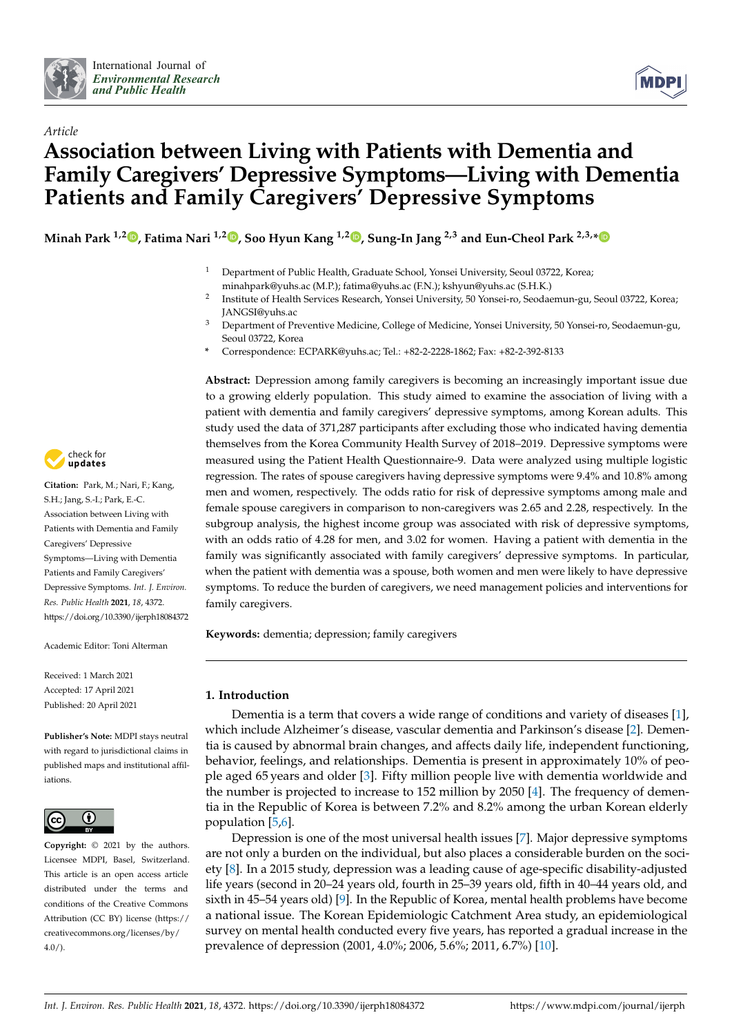



# *Article* **Association between Living with Patients with Dementia and Family Caregivers' Depressive Symptoms—Living with Dementia Patients and Family Caregivers' Depressive Symptoms**

**Minah Park 1,[2](https://orcid.org/0000-0002-7685-987X) , Fatima Nari 1,2 [,](https://orcid.org/0000-0002-3031-3388) Soo Hyun Kang 1,2 [,](https://orcid.org/0000-0002-9381-7276) Sung-In Jang 2,3 and Eun-Cheol Park 2,3,[\\*](https://orcid.org/0000-0002-2306-5398)**

- <sup>1</sup> Department of Public Health, Graduate School, Yonsei University, Seoul 03722, Korea; minahpark@yuhs.ac (M.P.); fatima@yuhs.ac (F.N.); kshyun@yuhs.ac (S.H.K.)
- 2 Institute of Health Services Research, Yonsei University, 50 Yonsei-ro, Seodaemun-gu, Seoul 03722, Korea; JANGSI@yuhs.ac
- <sup>3</sup> Department of Preventive Medicine, College of Medicine, Yonsei University, 50 Yonsei-ro, Seodaemun-gu, Seoul 03722, Korea
- **\*** Correspondence: ECPARK@yuhs.ac; Tel.: +82-2-2228-1862; Fax: +82-2-392-8133

**Abstract:** Depression among family caregivers is becoming an increasingly important issue due to a growing elderly population. This study aimed to examine the association of living with a patient with dementia and family caregivers' depressive symptoms, among Korean adults. This study used the data of 371,287 participants after excluding those who indicated having dementia themselves from the Korea Community Health Survey of 2018–2019. Depressive symptoms were measured using the Patient Health Questionnaire-9. Data were analyzed using multiple logistic regression. The rates of spouse caregivers having depressive symptoms were 9.4% and 10.8% among men and women, respectively. The odds ratio for risk of depressive symptoms among male and female spouse caregivers in comparison to non-caregivers was 2.65 and 2.28, respectively. In the subgroup analysis, the highest income group was associated with risk of depressive symptoms, with an odds ratio of 4.28 for men, and 3.02 for women. Having a patient with dementia in the family was significantly associated with family caregivers' depressive symptoms. In particular, when the patient with dementia was a spouse, both women and men were likely to have depressive symptoms. To reduce the burden of caregivers, we need management policies and interventions for family caregivers.

**Keywords:** dementia; depression; family caregivers

# **1. Introduction**

Dementia is a term that covers a wide range of conditions and variety of diseases [\[1\]](#page-9-0), which include Alzheimer's disease, vascular dementia and Parkinson's disease [\[2\]](#page-9-1). Dementia is caused by abnormal brain changes, and affects daily life, independent functioning, behavior, feelings, and relationships. Dementia is present in approximately 10% of people aged 65 years and older [\[3\]](#page-9-2). Fifty million people live with dementia worldwide and the number is projected to increase to 152 million by 2050 [\[4\]](#page-9-3). The frequency of dementia in the Republic of Korea is between 7.2% and 8.2% among the urban Korean elderly population [\[5](#page-9-4)[,6\]](#page-9-5).

Depression is one of the most universal health issues [\[7\]](#page-9-6). Major depressive symptoms are not only a burden on the individual, but also places a considerable burden on the society [\[8\]](#page-9-7). In a 2015 study, depression was a leading cause of age-specific disability-adjusted life years (second in 20–24 years old, fourth in 25–39 years old, fifth in 40–44 years old, and sixth in 45–54 years old) [\[9\]](#page-9-8). In the Republic of Korea, mental health problems have become a national issue. The Korean Epidemiologic Catchment Area study, an epidemiological survey on mental health conducted every five years, has reported a gradual increase in the prevalence of depression (2001, 4.0%; 2006, 5.6%; 2011, 6.7%) [\[10\]](#page-9-9).



**Citation:** Park, M.; Nari, F.; Kang, S.H.; Jang, S.-I.; Park, E.-C. Association between Living with Patients with Dementia and Family Caregivers' Depressive Symptoms—Living with Dementia Patients and Family Caregivers' Depressive Symptoms. *Int. J. Environ. Res. Public Health* **2021**, *18*, 4372. <https://doi.org/10.3390/ijerph18084372>

Academic Editor: Toni Alterman

Received: 1 March 2021 Accepted: 17 April 2021 Published: 20 April 2021

**Publisher's Note:** MDPI stays neutral with regard to jurisdictional claims in published maps and institutional affiliations.



**Copyright:** © 2021 by the authors. Licensee MDPI, Basel, Switzerland. This article is an open access article distributed under the terms and conditions of the Creative Commons Attribution (CC BY) license (https:/[/](https://creativecommons.org/licenses/by/4.0/) [creativecommons.org/licenses/by/](https://creativecommons.org/licenses/by/4.0/) 4.0/).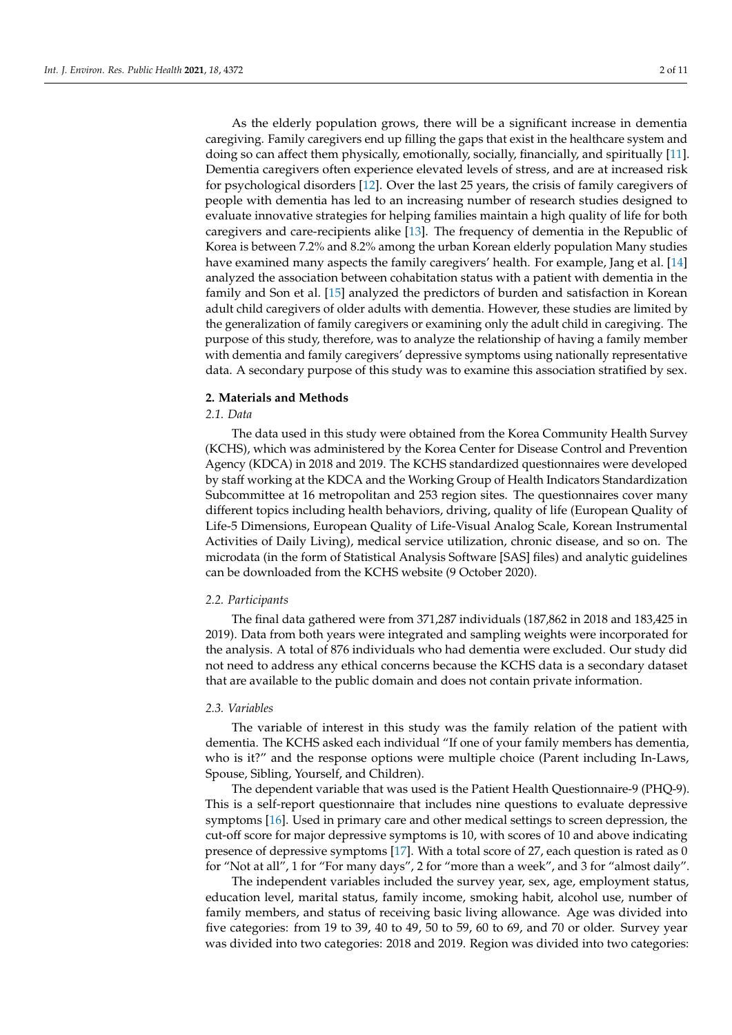As the elderly population grows, there will be a significant increase in dementia caregiving. Family caregivers end up filling the gaps that exist in the healthcare system and doing so can affect them physically, emotionally, socially, financially, and spiritually [\[11\]](#page-9-10). Dementia caregivers often experience elevated levels of stress, and are at increased risk for psychological disorders [\[12\]](#page-9-11). Over the last 25 years, the crisis of family caregivers of people with dementia has led to an increasing number of research studies designed to evaluate innovative strategies for helping families maintain a high quality of life for both caregivers and care-recipients alike [\[13\]](#page-9-12). The frequency of dementia in the Republic of Korea is between 7.2% and 8.2% among the urban Korean elderly population Many studies have examined many aspects the family caregivers' health. For example, Jang et al. [\[14\]](#page-9-13) analyzed the association between cohabitation status with a patient with dementia in the family and Son et al. [\[15\]](#page-9-14) analyzed the predictors of burden and satisfaction in Korean adult child caregivers of older adults with dementia. However, these studies are limited by the generalization of family caregivers or examining only the adult child in caregiving. The purpose of this study, therefore, was to analyze the relationship of having a family member with dementia and family caregivers' depressive symptoms using nationally representative data. A secondary purpose of this study was to examine this association stratified by sex.

#### **2. Materials and Methods**

#### *2.1. Data*

The data used in this study were obtained from the Korea Community Health Survey (KCHS), which was administered by the Korea Center for Disease Control and Prevention Agency (KDCA) in 2018 and 2019. The KCHS standardized questionnaires were developed by staff working at the KDCA and the Working Group of Health Indicators Standardization Subcommittee at 16 metropolitan and 253 region sites. The questionnaires cover many different topics including health behaviors, driving, quality of life (European Quality of Life-5 Dimensions, European Quality of Life-Visual Analog Scale, Korean Instrumental Activities of Daily Living), medical service utilization, chronic disease, and so on. The microdata (in the form of Statistical Analysis Software [SAS] files) and analytic guidelines can be downloaded from the KCHS website (9 October 2020).

#### *2.2. Participants*

The final data gathered were from 371,287 individuals (187,862 in 2018 and 183,425 in 2019). Data from both years were integrated and sampling weights were incorporated for the analysis. A total of 876 individuals who had dementia were excluded. Our study did not need to address any ethical concerns because the KCHS data is a secondary dataset that are available to the public domain and does not contain private information.

## *2.3. Variables*

The variable of interest in this study was the family relation of the patient with dementia. The KCHS asked each individual "If one of your family members has dementia, who is it?" and the response options were multiple choice (Parent including In-Laws, Spouse, Sibling, Yourself, and Children).

The dependent variable that was used is the Patient Health Questionnaire-9 (PHQ-9). This is a self-report questionnaire that includes nine questions to evaluate depressive symptoms [\[16\]](#page-9-15). Used in primary care and other medical settings to screen depression, the cut-off score for major depressive symptoms is 10, with scores of 10 and above indicating presence of depressive symptoms [\[17\]](#page-9-16). With a total score of 27, each question is rated as 0 for "Not at all", 1 for "For many days", 2 for "more than a week", and 3 for "almost daily".

The independent variables included the survey year, sex, age, employment status, education level, marital status, family income, smoking habit, alcohol use, number of family members, and status of receiving basic living allowance. Age was divided into five categories: from 19 to 39, 40 to 49, 50 to 59, 60 to 69, and 70 or older. Survey year was divided into two categories: 2018 and 2019. Region was divided into two categories: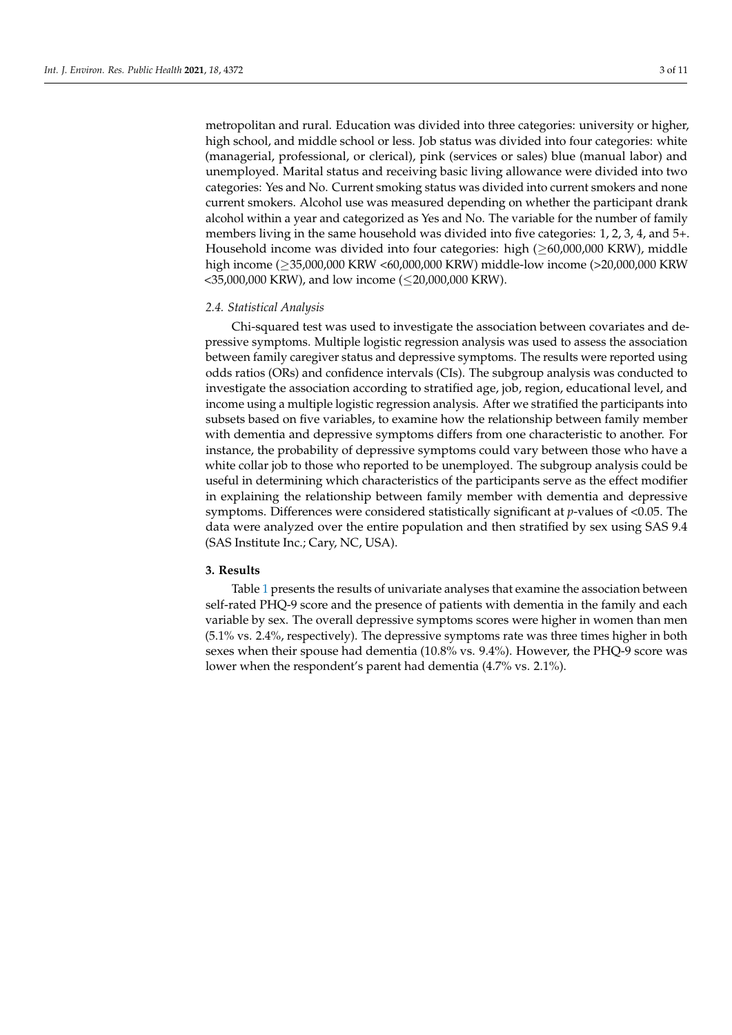metropolitan and rural. Education was divided into three categories: university or higher, high school, and middle school or less. Job status was divided into four categories: white (managerial, professional, or clerical), pink (services or sales) blue (manual labor) and unemployed. Marital status and receiving basic living allowance were divided into two categories: Yes and No. Current smoking status was divided into current smokers and none current smokers. Alcohol use was measured depending on whether the participant drank alcohol within a year and categorized as Yes and No. The variable for the number of family members living in the same household was divided into five categories: 1, 2, 3, 4, and 5+. Household income was divided into four categories: high  $(\geq 60,000,000$  KRW), middle high income (≥35,000,000 KRW <60,000,000 KRW) middle-low income (>20,000,000 KRW <35,000,000 KRW), and low income (≤20,000,000 KRW).

#### *2.4. Statistical Analysis*

Chi-squared test was used to investigate the association between covariates and depressive symptoms. Multiple logistic regression analysis was used to assess the association between family caregiver status and depressive symptoms. The results were reported using odds ratios (ORs) and confidence intervals (CIs). The subgroup analysis was conducted to investigate the association according to stratified age, job, region, educational level, and income using a multiple logistic regression analysis. After we stratified the participants into subsets based on five variables, to examine how the relationship between family member with dementia and depressive symptoms differs from one characteristic to another. For instance, the probability of depressive symptoms could vary between those who have a white collar job to those who reported to be unemployed. The subgroup analysis could be useful in determining which characteristics of the participants serve as the effect modifier in explaining the relationship between family member with dementia and depressive symptoms. Differences were considered statistically significant at *p*-values of <0.05. The data were analyzed over the entire population and then stratified by sex using SAS 9.4 (SAS Institute Inc.; Cary, NC, USA).

#### **3. Results**

Table [1](#page-4-0) presents the results of univariate analyses that examine the association between self-rated PHQ-9 score and the presence of patients with dementia in the family and each variable by sex. The overall depressive symptoms scores were higher in women than men (5.1% vs. 2.4%, respectively). The depressive symptoms rate was three times higher in both sexes when their spouse had dementia (10.8% vs. 9.4%). However, the PHQ-9 score was lower when the respondent's parent had dementia (4.7% vs. 2.1%).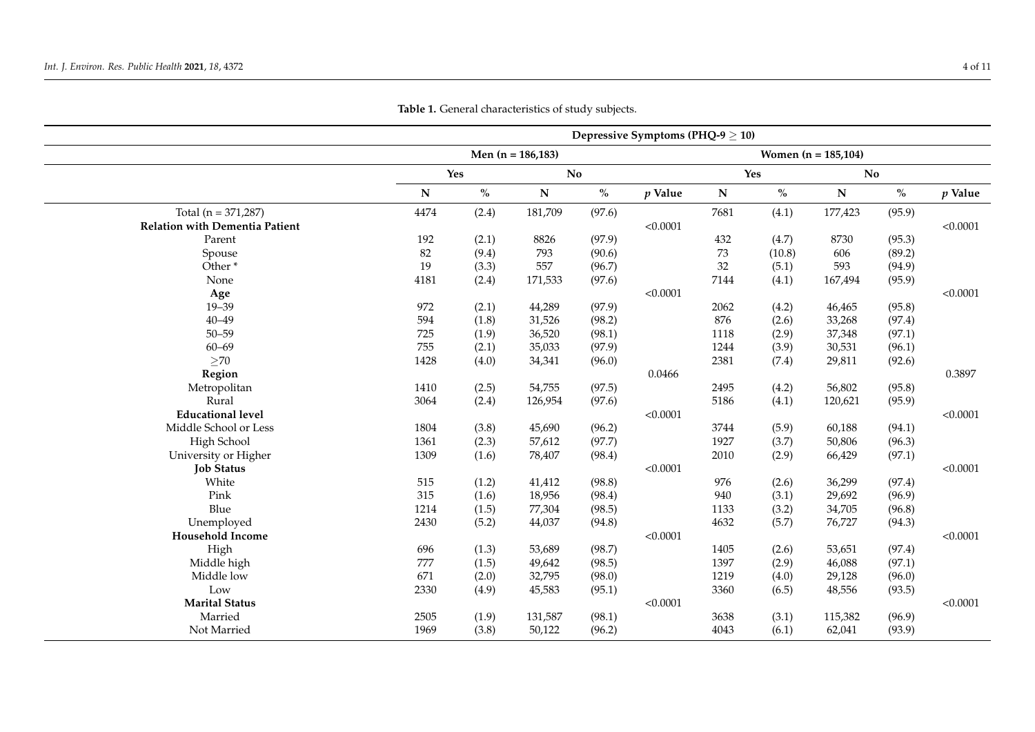|                                       | Depressive Symptoms (PHQ-9 $\geq$ 10) |               |                        |        |           |                        |        |           |        |           |
|---------------------------------------|---------------------------------------|---------------|------------------------|--------|-----------|------------------------|--------|-----------|--------|-----------|
|                                       | Men $(n = 186, 183)$                  |               |                        |        |           | Women $(n = 185, 104)$ |        |           |        |           |
|                                       | Yes                                   |               | $\mathbf{N}\mathbf{o}$ |        |           | Yes                    |        | No        |        |           |
|                                       | ${\bf N}$                             | $\frac{0}{0}$ | ${\bf N}$              | $\%$   | $p$ Value | ${\bf N}$              | $\%$   | ${\bf N}$ | $\%$   | $p$ Value |
| Total ( $n = 371,287$ )               | 4474                                  | (2.4)         | 181,709                | (97.6) |           | 7681                   | (4.1)  | 177,423   | (95.9) |           |
| <b>Relation with Dementia Patient</b> |                                       |               |                        |        | < 0.0001  |                        |        |           |        | < 0.0001  |
| Parent                                | 192                                   | (2.1)         | 8826                   | (97.9) |           | 432                    | (4.7)  | 8730      | (95.3) |           |
| Spouse                                | 82                                    | (9.4)         | 793                    | (90.6) |           | 73                     | (10.8) | 606       | (89.2) |           |
| Other <sup>*</sup>                    | 19                                    | (3.3)         | 557                    | (96.7) |           | 32                     | (5.1)  | 593       | (94.9) |           |
| None                                  | 4181                                  | (2.4)         | 171,533                | (97.6) |           | 7144                   | (4.1)  | 167,494   | (95.9) |           |
| Age                                   |                                       |               |                        |        | < 0.0001  |                        |        |           |        | < 0.0001  |
| $19 - 39$                             | 972                                   | (2.1)         | 44,289                 | (97.9) |           | 2062                   | (4.2)  | 46,465    | (95.8) |           |
| $40 - 49$                             | 594                                   | (1.8)         | 31,526                 | (98.2) |           | 876                    | (2.6)  | 33,268    | (97.4) |           |
| $50 - 59$                             | 725                                   | (1.9)         | 36,520                 | (98.1) |           | 1118                   | (2.9)  | 37,348    | (97.1) |           |
| $60 - 69$                             | 755                                   | (2.1)         | 35,033                 | (97.9) |           | 1244                   | (3.9)  | 30,531    | (96.1) |           |
| $>70$                                 | 1428                                  | (4.0)         | 34,341                 | (96.0) |           | 2381                   | (7.4)  | 29,811    | (92.6) |           |
| Region                                |                                       |               |                        |        | 0.0466    |                        |        |           |        | 0.3897    |
| Metropolitan                          | 1410                                  | (2.5)         | 54,755                 | (97.5) |           | 2495                   | (4.2)  | 56,802    | (95.8) |           |
| Rural                                 | 3064                                  | (2.4)         | 126,954                | (97.6) |           | 5186                   | (4.1)  | 120,621   | (95.9) |           |
| <b>Educational level</b>              |                                       |               |                        |        | < 0.0001  |                        |        |           |        | < 0.0001  |
| Middle School or Less                 | 1804                                  | (3.8)         | 45,690                 | (96.2) |           | 3744                   | (5.9)  | 60,188    | (94.1) |           |
| High School                           | 1361                                  | (2.3)         | 57,612                 | (97.7) |           | 1927                   | (3.7)  | 50,806    | (96.3) |           |
| University or Higher                  | 1309                                  | (1.6)         | 78,407                 | (98.4) |           | 2010                   | (2.9)  | 66,429    | (97.1) |           |
| <b>Job Status</b>                     |                                       |               |                        |        | < 0.0001  |                        |        |           |        | < 0.0001  |
| White                                 | 515                                   | (1.2)         | 41,412                 | (98.8) |           | 976                    | (2.6)  | 36,299    | (97.4) |           |
| Pink                                  | 315                                   | (1.6)         | 18,956                 | (98.4) |           | 940                    | (3.1)  | 29,692    | (96.9) |           |
| Blue                                  | 1214                                  | (1.5)         | 77,304                 | (98.5) |           | 1133                   | (3.2)  | 34,705    | (96.8) |           |
| Unemployed                            | 2430                                  | (5.2)         | 44,037                 | (94.8) |           | 4632                   | (5.7)  | 76,727    | (94.3) |           |
| <b>Household Income</b>               |                                       |               |                        |        | < 0.0001  |                        |        |           |        | < 0.0001  |
| High                                  | 696                                   | (1.3)         | 53,689                 | (98.7) |           | 1405                   | (2.6)  | 53,651    | (97.4) |           |
| Middle high                           | 777                                   | (1.5)         | 49,642                 | (98.5) |           | 1397                   | (2.9)  | 46,088    | (97.1) |           |
| Middle low                            | 671                                   | (2.0)         | 32,795                 | (98.0) |           | 1219                   | (4.0)  | 29,128    | (96.0) |           |
| Low                                   | 2330                                  | (4.9)         | 45,583                 | (95.1) |           | 3360                   | (6.5)  | 48,556    | (93.5) |           |
| <b>Marital Status</b>                 |                                       |               |                        |        | < 0.0001  |                        |        |           |        | < 0.0001  |
| Married                               | 2505                                  | (1.9)         | 131,587                | (98.1) |           | 3638                   | (3.1)  | 115,382   | (96.9) |           |
| Not Married                           | 1969                                  | (3.8)         | 50,122                 | (96.2) |           | 4043                   | (6.1)  | 62,041    | (93.9) |           |
|                                       |                                       |               |                        |        |           |                        |        |           |        |           |

**Table 1.** General characteristics of study subjects.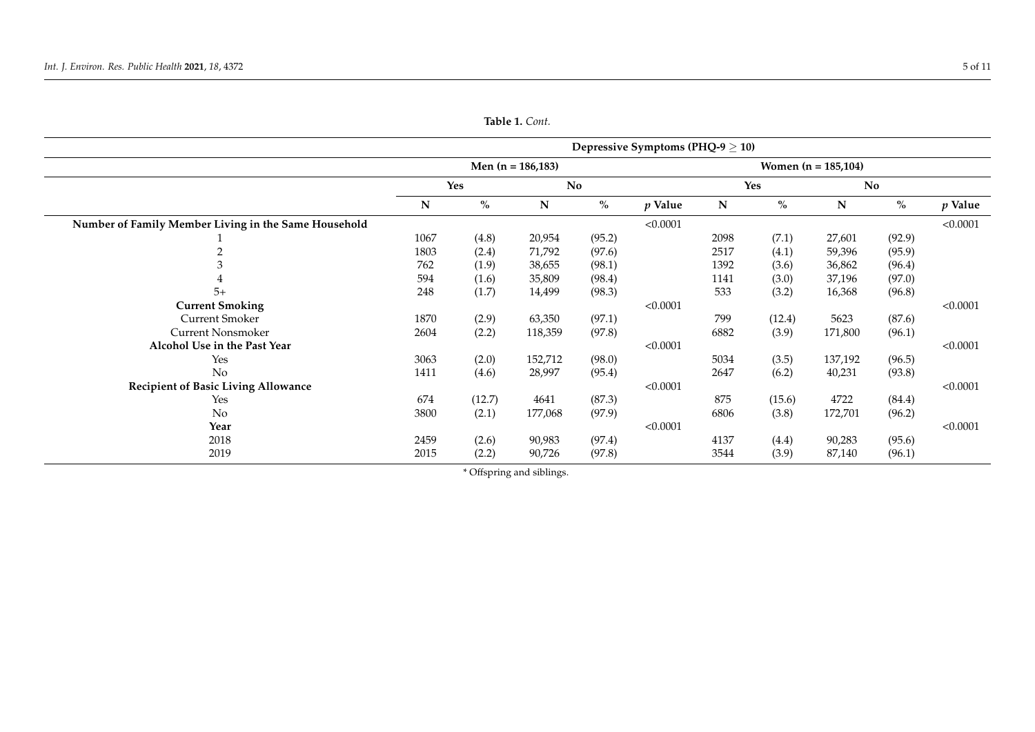<span id="page-4-0"></span>

|                                                      | Depressive Symptoms (PHQ-9 $\geq$ 10) |        |             |        |           |                        |        |             |        |           |
|------------------------------------------------------|---------------------------------------|--------|-------------|--------|-----------|------------------------|--------|-------------|--------|-----------|
|                                                      | Men $(n = 186, 183)$                  |        |             |        |           | Women $(n = 185, 104)$ |        |             |        |           |
|                                                      | Yes                                   |        | No          |        |           | Yes                    |        | No          |        |           |
|                                                      | N                                     | $\%$   | $\mathbf N$ | $\%$   | $p$ Value | N                      | $\%$   | $\mathbf N$ | $\%$   | $p$ Value |
| Number of Family Member Living in the Same Household |                                       |        |             |        | < 0.0001  |                        |        |             |        | < 0.0001  |
|                                                      | 1067                                  | (4.8)  | 20,954      | (95.2) |           | 2098                   | (7.1)  | 27,601      | (92.9) |           |
|                                                      | 1803                                  | (2.4)  | 71,792      | (97.6) |           | 2517                   | (4.1)  | 59,396      | (95.9) |           |
|                                                      | 762                                   | (1.9)  | 38,655      | (98.1) |           | 1392                   | (3.6)  | 36,862      | (96.4) |           |
|                                                      | 594                                   | (1.6)  | 35,809      | (98.4) |           | 1141                   | (3.0)  | 37,196      | (97.0) |           |
| $5+$                                                 | 248                                   | (1.7)  | 14,499      | (98.3) |           | 533                    | (3.2)  | 16,368      | (96.8) |           |
| <b>Current Smoking</b>                               |                                       |        |             |        | < 0.0001  |                        |        |             |        | < 0.0001  |
| <b>Current Smoker</b>                                | 1870                                  | (2.9)  | 63,350      | (97.1) |           | 799                    | (12.4) | 5623        | (87.6) |           |
| <b>Current Nonsmoker</b>                             | 2604                                  | (2.2)  | 118,359     | (97.8) |           | 6882                   | (3.9)  | 171,800     | (96.1) |           |
| Alcohol Use in the Past Year                         |                                       |        |             |        | < 0.0001  |                        |        |             |        | < 0.0001  |
| Yes                                                  | 3063                                  | (2.0)  | 152,712     | (98.0) |           | 5034                   | (3.5)  | 137,192     | (96.5) |           |
| No                                                   | 1411                                  | (4.6)  | 28,997      | (95.4) |           | 2647                   | (6.2)  | 40,231      | (93.8) |           |
| <b>Recipient of Basic Living Allowance</b>           |                                       |        |             |        | < 0.0001  |                        |        |             |        | < 0.0001  |
| Yes                                                  | 674                                   | (12.7) | 4641        | (87.3) |           | 875                    | (15.6) | 4722        | (84.4) |           |
| No                                                   | 3800                                  | (2.1)  | 177,068     | (97.9) |           | 6806                   | (3.8)  | 172,701     | (96.2) |           |
| Year                                                 |                                       |        |             |        | < 0.0001  |                        |        |             |        | < 0.0001  |
| 2018                                                 | 2459                                  | (2.6)  | 90,983      | (97.4) |           | 4137                   | (4.4)  | 90,283      | (95.6) |           |
| 2019                                                 | 2015                                  | (2.2)  | 90,726      | (97.8) |           | 3544                   | (3.9)  | 87,140      | (96.1) |           |

**Table 1.** *Cont.*

\* Offspring and siblings.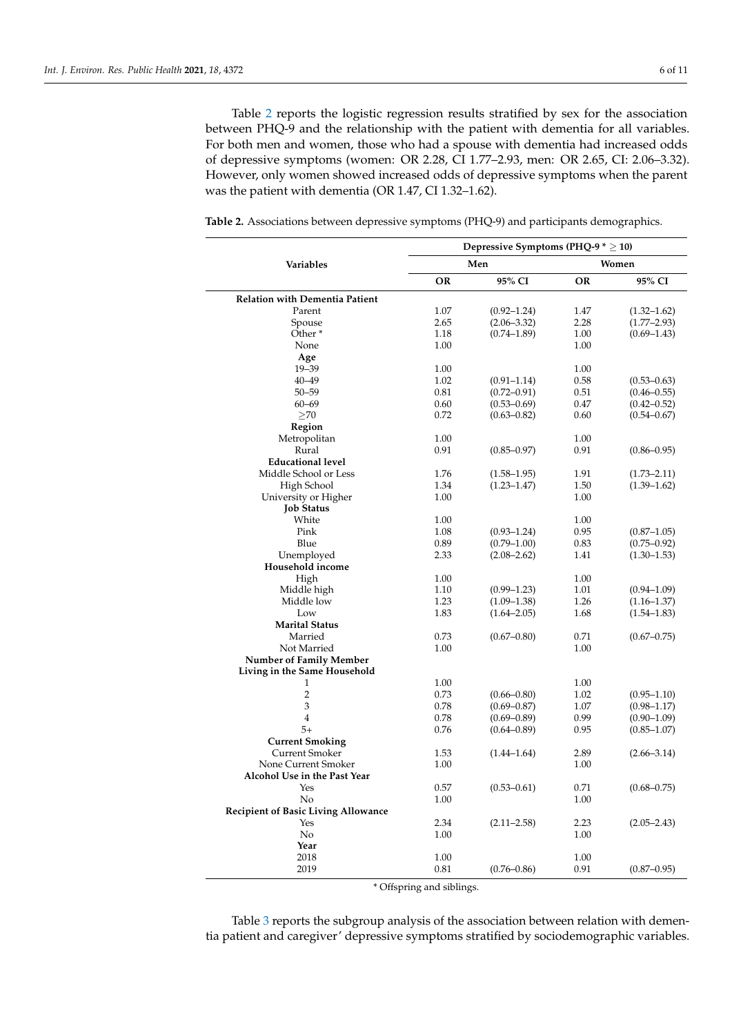Table [2](#page-5-0) reports the logistic regression results stratified by sex for the association between PHQ-9 and the relationship with the patient with dementia for all variables. For both men and women, those who had a spouse with dementia had increased odds of depressive symptoms (women: OR 2.28, CI 1.77–2.93, men: OR 2.65, CI: 2.06–3.32). However, only women showed increased odds of depressive symptoms when the parent was the patient with dementia (OR 1.47, CI 1.32–1.62).

<span id="page-5-0"></span>**Table 2.** Associations between depressive symptoms (PHQ-9) and participants demographics.

|                                                 | Depressive Symptoms (PHQ-9 $* \ge 10$ ) |                 |           |                 |  |  |  |
|-------------------------------------------------|-----------------------------------------|-----------------|-----------|-----------------|--|--|--|
| <b>Variables</b>                                |                                         | Men             |           | Women           |  |  |  |
|                                                 | OR                                      | 95% CI          | <b>OR</b> | 95% CI          |  |  |  |
| <b>Relation with Dementia Patient</b>           |                                         |                 |           |                 |  |  |  |
| Parent                                          | 1.07                                    | $(0.92 - 1.24)$ | 1.47      | $(1.32 - 1.62)$ |  |  |  |
| Spouse                                          | 2.65                                    | $(2.06 - 3.32)$ | 2.28      | $(1.77 - 2.93)$ |  |  |  |
| Other <sup>*</sup>                              | 1.18                                    | $(0.74 - 1.89)$ | 1.00      | $(0.69 - 1.43)$ |  |  |  |
| None                                            | 1.00                                    |                 | 1.00      |                 |  |  |  |
| Age                                             |                                         |                 |           |                 |  |  |  |
| $19 - 39$                                       | 1.00                                    |                 | 1.00      |                 |  |  |  |
| $40 - 49$                                       | 1.02                                    | $(0.91 - 1.14)$ | 0.58      | $(0.53 - 0.63)$ |  |  |  |
| $50 - 59$                                       | 0.81                                    | $(0.72 - 0.91)$ | 0.51      | $(0.46 - 0.55)$ |  |  |  |
| $60 - 69$                                       | 0.60                                    | $(0.53 - 0.69)$ | 0.47      | $(0.42 - 0.52)$ |  |  |  |
| >70                                             | 0.72                                    | $(0.63 - 0.82)$ | 0.60      | $(0.54 - 0.67)$ |  |  |  |
| Region                                          |                                         |                 |           |                 |  |  |  |
| Metropolitan                                    | 1.00                                    |                 | 1.00      |                 |  |  |  |
| Rural                                           | 0.91                                    | $(0.85 - 0.97)$ | 0.91      | $(0.86 - 0.95)$ |  |  |  |
| <b>Educational level</b>                        |                                         |                 |           |                 |  |  |  |
| Middle School or Less                           | 1.76                                    | $(1.58 - 1.95)$ | 1.91      | $(1.73 - 2.11)$ |  |  |  |
| High School                                     | 1.34                                    | $(1.23 - 1.47)$ | 1.50      | $(1.39 - 1.62)$ |  |  |  |
| University or Higher                            | 1.00                                    |                 | 1.00      |                 |  |  |  |
| <b>Job Status</b>                               |                                         |                 |           |                 |  |  |  |
| White                                           | 1.00                                    |                 | 1.00      |                 |  |  |  |
| Pink                                            | 1.08                                    | $(0.93 - 1.24)$ | 0.95      | $(0.87 - 1.05)$ |  |  |  |
| Blue                                            | 0.89                                    | $(0.79 - 1.00)$ | 0.83      | $(0.75 - 0.92)$ |  |  |  |
| Unemployed                                      | 2.33                                    | $(2.08 - 2.62)$ | 1.41      | $(1.30 - 1.53)$ |  |  |  |
| Household income                                |                                         |                 |           |                 |  |  |  |
| High                                            | 1.00                                    |                 | 1.00      |                 |  |  |  |
| Middle high                                     | 1.10                                    | $(0.99 - 1.23)$ | 1.01      | $(0.94 - 1.09)$ |  |  |  |
| Middle low                                      | 1.23                                    | $(1.09 - 1.38)$ | 1.26      | $(1.16 - 1.37)$ |  |  |  |
| Low                                             | 1.83                                    | $(1.64 - 2.05)$ | 1.68      | $(1.54 - 1.83)$ |  |  |  |
| <b>Marital Status</b>                           |                                         |                 |           |                 |  |  |  |
| Married                                         | 0.73                                    | $(0.67 - 0.80)$ | 0.71      | $(0.67 - 0.75)$ |  |  |  |
| Not Married                                     | 1.00                                    |                 | 1.00      |                 |  |  |  |
| <b>Number of Family Member</b>                  |                                         |                 |           |                 |  |  |  |
| Living in the Same Household                    |                                         |                 |           |                 |  |  |  |
| 1                                               | 1.00                                    |                 | 1.00      |                 |  |  |  |
| $\overline{2}$                                  | 0.73                                    | $(0.66 - 0.80)$ | 1.02      | $(0.95 - 1.10)$ |  |  |  |
| 3                                               | 0.78                                    | $(0.69 - 0.87)$ | 1.07      | $(0.98 - 1.17)$ |  |  |  |
| $\overline{4}$                                  | 0.78                                    | $(0.69 - 0.89)$ | 0.99      | $(0.90 - 1.09)$ |  |  |  |
| $5+$                                            | 0.76                                    |                 |           |                 |  |  |  |
|                                                 |                                         | $(0.64 - 0.89)$ | 0.95      | $(0.85 - 1.07)$ |  |  |  |
| <b>Current Smoking</b><br><b>Current Smoker</b> | 1.53                                    |                 | 2.89      |                 |  |  |  |
| None Current Smoker                             | 1.00                                    | $(1.44 - 1.64)$ | 1.00      | $(2.66 - 3.14)$ |  |  |  |
|                                                 |                                         |                 |           |                 |  |  |  |
| Alcohol Use in the Past Year                    |                                         |                 |           |                 |  |  |  |
| Yes                                             | 0.57                                    | $(0.53 - 0.61)$ | 0.71      | $(0.68 - 0.75)$ |  |  |  |
| No                                              | 1.00                                    |                 | 1.00      |                 |  |  |  |
| <b>Recipient of Basic Living Allowance</b>      |                                         |                 |           |                 |  |  |  |
| Yes                                             | 2.34                                    | $(2.11 - 2.58)$ | 2.23      | $(2.05 - 2.43)$ |  |  |  |
| No                                              | 1.00                                    |                 | 1.00      |                 |  |  |  |
| Year                                            |                                         |                 |           |                 |  |  |  |
| 2018                                            | 1.00                                    |                 | 1.00      |                 |  |  |  |
| 2019                                            | 0.81                                    | $(0.76 - 0.86)$ | 0.91      | $(0.87 - 0.95)$ |  |  |  |

\* Offspring and siblings.

Table [3](#page-6-0) reports the subgroup analysis of the association between relation with dementia patient and caregiver' depressive symptoms stratified by sociodemographic variables.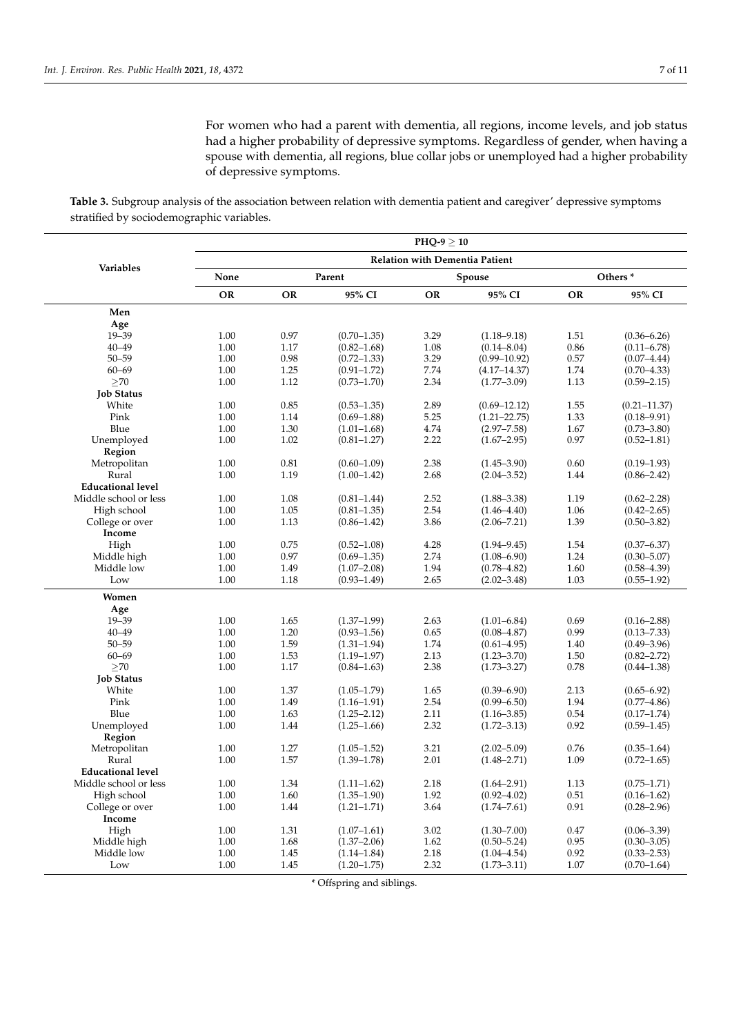For women who had a parent with dementia, all regions, income levels, and job status had a higher probability of depressive symptoms. Regardless of gender, when having a spouse with dementia, all regions, blue collar jobs or unemployed had a higher probability of depressive symptoms.

<span id="page-6-0"></span>**Table 3.** Subgroup analysis of the association between relation with dementia patient and caregiver' depressive symptoms stratified by sociodemographic variables.

|                          | $PHO-9 > 10$                          |           |                 |      |                  |                     |                  |  |  |  |
|--------------------------|---------------------------------------|-----------|-----------------|------|------------------|---------------------|------------------|--|--|--|
| Variables                | <b>Relation with Dementia Patient</b> |           |                 |      |                  |                     |                  |  |  |  |
|                          | None                                  | Parent    |                 |      | Spouse           | Others <sup>*</sup> |                  |  |  |  |
|                          | <b>OR</b>                             | <b>OR</b> | 95% CI          | OR   | 95% CI           | <b>OR</b>           | 95% CI           |  |  |  |
| Men                      |                                       |           |                 |      |                  |                     |                  |  |  |  |
| Age                      |                                       |           |                 |      |                  |                     |                  |  |  |  |
| $19 - 39$                | 1.00                                  | 0.97      | $(0.70 - 1.35)$ | 3.29 | $(1.18 - 9.18)$  | 1.51                | $(0.36 - 6.26)$  |  |  |  |
| $40 - 49$                | 1.00                                  | 1.17      | $(0.82 - 1.68)$ | 1.08 | $(0.14 - 8.04)$  | 0.86                | $(0.11 - 6.78)$  |  |  |  |
| $50 - 59$                | 1.00                                  | 0.98      | $(0.72 - 1.33)$ | 3.29 | $(0.99 - 10.92)$ | 0.57                | $(0.07 - 4.44)$  |  |  |  |
| $60 - 69$                | 1.00                                  | 1.25      | $(0.91 - 1.72)$ | 7.74 | $(4.17 - 14.37)$ | 1.74                | $(0.70 - 4.33)$  |  |  |  |
| >70                      | 1.00                                  | 1.12      | $(0.73 - 1.70)$ | 2.34 | $(1.77 - 3.09)$  | 1.13                | $(0.59 - 2.15)$  |  |  |  |
| <b>Job Status</b>        |                                       |           |                 |      |                  |                     |                  |  |  |  |
| White                    | 1.00                                  | 0.85      | $(0.53 - 1.35)$ | 2.89 | $(0.69 - 12.12)$ | 1.55                | $(0.21 - 11.37)$ |  |  |  |
| Pink                     | 1.00                                  | 1.14      | $(0.69 - 1.88)$ | 5.25 | $(1.21 - 22.75)$ | 1.33                | $(0.18 - 9.91)$  |  |  |  |
| Blue                     | 1.00                                  | 1.30      | $(1.01 - 1.68)$ | 4.74 | $(2.97 - 7.58)$  | 1.67                | $(0.73 - 3.80)$  |  |  |  |
| Unemployed               | 1.00                                  | 1.02      | $(0.81 - 1.27)$ | 2.22 | $(1.67 - 2.95)$  | 0.97                | $(0.52 - 1.81)$  |  |  |  |
| Region                   |                                       |           |                 |      |                  |                     |                  |  |  |  |
| Metropolitan             | 1.00                                  | 0.81      | $(0.60 - 1.09)$ | 2.38 | $(1.45 - 3.90)$  | 0.60                | $(0.19 - 1.93)$  |  |  |  |
| Rural                    | 1.00                                  | 1.19      | $(1.00-1.42)$   | 2.68 | $(2.04 - 3.52)$  | 1.44                | $(0.86 - 2.42)$  |  |  |  |
| <b>Educational level</b> |                                       |           |                 |      |                  |                     |                  |  |  |  |
| Middle school or less    | 1.00                                  | 1.08      | $(0.81 - 1.44)$ | 2.52 | $(1.88 - 3.38)$  | 1.19                | $(0.62 - 2.28)$  |  |  |  |
| High school              | 1.00                                  | 1.05      | $(0.81 - 1.35)$ | 2.54 | $(1.46 - 4.40)$  | 1.06                | $(0.42 - 2.65)$  |  |  |  |
| College or over          | 1.00                                  | 1.13      | $(0.86 - 1.42)$ | 3.86 | $(2.06 - 7.21)$  | 1.39                | $(0.50 - 3.82)$  |  |  |  |
| Income                   |                                       |           |                 |      |                  |                     |                  |  |  |  |
| High                     | 1.00                                  | 0.75      | $(0.52 - 1.08)$ | 4.28 | $(1.94 - 9.45)$  | 1.54                | $(0.37 - 6.37)$  |  |  |  |
| Middle high              | 1.00                                  | 0.97      | $(0.69 - 1.35)$ | 2.74 | $(1.08 - 6.90)$  | 1.24                | $(0.30 - 5.07)$  |  |  |  |
| Middle low               | 1.00                                  | 1.49      | $(1.07 - 2.08)$ | 1.94 | $(0.78 - 4.82)$  | 1.60                | $(0.58 - 4.39)$  |  |  |  |
| Low                      | 1.00                                  | 1.18      | $(0.93 - 1.49)$ | 2.65 | $(2.02 - 3.48)$  | 1.03                | $(0.55 - 1.92)$  |  |  |  |
| Women                    |                                       |           |                 |      |                  |                     |                  |  |  |  |
| Age                      |                                       |           |                 |      |                  |                     |                  |  |  |  |
| $19 - 39$                | 1.00                                  | 1.65      | $(1.37-1.99)$   | 2.63 | $(1.01 - 6.84)$  | 0.69                | $(0.16 - 2.88)$  |  |  |  |
| $40 - 49$                | 1.00                                  | 1.20      | $(0.93 - 1.56)$ | 0.65 | $(0.08 - 4.87)$  | 0.99                | $(0.13 - 7.33)$  |  |  |  |
| $50 - 59$                | 1.00                                  | 1.59      | $(1.31 - 1.94)$ | 1.74 | $(0.61 - 4.95)$  | 1.40                | $(0.49 - 3.96)$  |  |  |  |
| $60 - 69$                | 1.00                                  | 1.53      | $(1.19 - 1.97)$ | 2.13 | $(1.23 - 3.70)$  | 1.50                | $(0.82 - 2.72)$  |  |  |  |
| $\geq$ 70                | 1.00                                  | 1.17      | $(0.84 - 1.63)$ | 2.38 | $(1.73 - 3.27)$  | 0.78                | $(0.44 - 1.38)$  |  |  |  |
| <b>Job Status</b>        |                                       |           |                 |      |                  |                     |                  |  |  |  |
| White                    | 1.00                                  | 1.37      | $(1.05 - 1.79)$ | 1.65 | $(0.39 - 6.90)$  | 2.13                | $(0.65 - 6.92)$  |  |  |  |
| Pink                     | 1.00                                  | 1.49      | $(1.16 - 1.91)$ | 2.54 | $(0.99 - 6.50)$  | 1.94                | $(0.77 - 4.86)$  |  |  |  |
| Blue                     | 1.00                                  | 1.63      | $(1.25 - 2.12)$ | 2.11 | $(1.16 - 3.85)$  | 0.54                | $(0.17 - 1.74)$  |  |  |  |
| Unemployed               | 1.00                                  | 1.44      | $(1.25 - 1.66)$ | 2.32 | $(1.72 - 3.13)$  | 0.92                | $(0.59 - 1.45)$  |  |  |  |
| Region                   |                                       |           |                 |      |                  |                     |                  |  |  |  |
| Metropolitan             | 1.00                                  | 1.27      | $(1.05 - 1.52)$ | 3.21 | $(2.02 - 5.09)$  | 0.76                | $(0.35 - 1.64)$  |  |  |  |
| Rural                    | 1.00                                  | 1.57      | $(1.39 - 1.78)$ | 2.01 | $(1.48 - 2.71)$  | 1.09                | $(0.72 - 1.65)$  |  |  |  |
| <b>Educational level</b> |                                       |           |                 |      |                  |                     |                  |  |  |  |
| Middle school or less    | 1.00                                  | 1.34      | $(1.11 - 1.62)$ | 2.18 | $(1.64 - 2.91)$  | 1.13                | $(0.75 - 1.71)$  |  |  |  |
|                          | 1.00                                  | 1.60      | $(1.35 - 1.90)$ | 1.92 | $(0.92 - 4.02)$  | 0.51                | $(0.16 - 1.62)$  |  |  |  |
| High school              | 1.00                                  | 1.44      |                 | 3.64 |                  | 0.91                | $(0.28 - 2.96)$  |  |  |  |
| College or over          |                                       |           | $(1.21 - 1.71)$ |      | $(1.74 - 7.61)$  |                     |                  |  |  |  |
| Income                   |                                       |           |                 |      |                  |                     |                  |  |  |  |
| High                     | 1.00                                  | 1.31      | $(1.07 - 1.61)$ | 3.02 | $(1.30 - 7.00)$  | 0.47                | $(0.06 - 3.39)$  |  |  |  |
| Middle high              | 1.00                                  | 1.68      | $(1.37 - 2.06)$ | 1.62 | $(0.50 - 5.24)$  | 0.95                | $(0.30 - 3.05)$  |  |  |  |
| Middle low               | 1.00                                  | 1.45      | $(1.14 - 1.84)$ | 2.18 | $(1.04 - 4.54)$  | 0.92                | $(0.33 - 2.53)$  |  |  |  |
| Low                      | 1.00                                  | 1.45      | $(1.20 - 1.75)$ | 2.32 | $(1.73 - 3.11)$  | 1.07                | $(0.70 - 1.64)$  |  |  |  |

\* Offspring and siblings.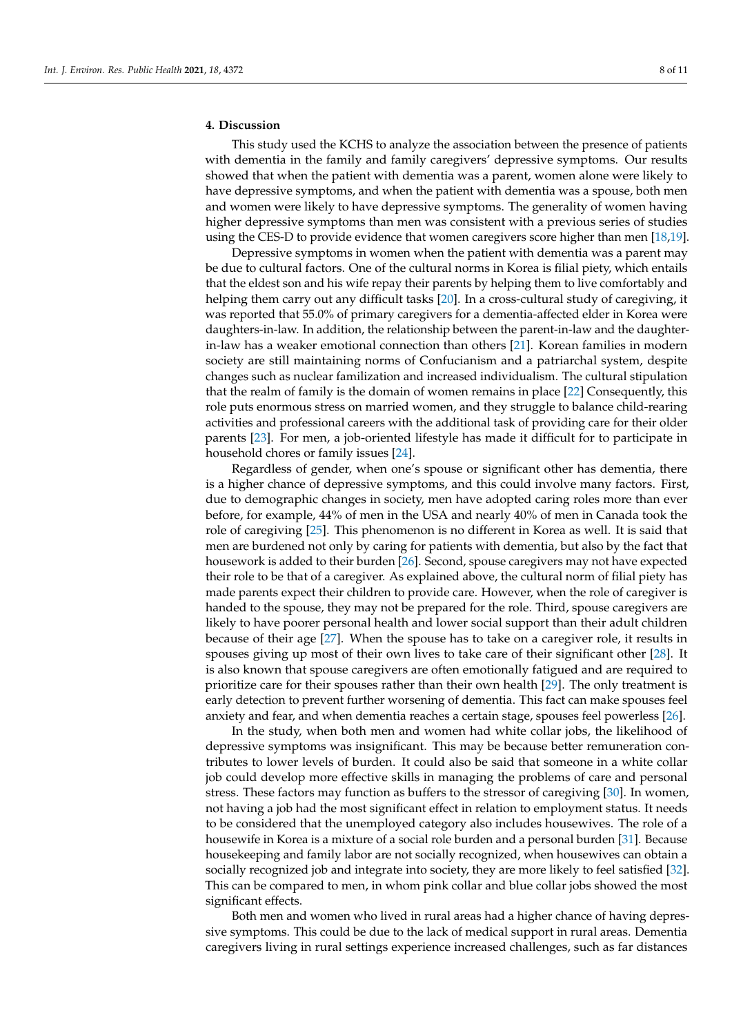## **4. Discussion**

This study used the KCHS to analyze the association between the presence of patients with dementia in the family and family caregivers' depressive symptoms. Our results showed that when the patient with dementia was a parent, women alone were likely to have depressive symptoms, and when the patient with dementia was a spouse, both men and women were likely to have depressive symptoms. The generality of women having higher depressive symptoms than men was consistent with a previous series of studies using the CES-D to provide evidence that women caregivers score higher than men [\[18](#page-9-17)[,19\]](#page-9-18).

Depressive symptoms in women when the patient with dementia was a parent may be due to cultural factors. One of the cultural norms in Korea is filial piety, which entails that the eldest son and his wife repay their parents by helping them to live comfortably and helping them carry out any difficult tasks [\[20\]](#page-9-19). In a cross-cultural study of caregiving, it was reported that 55.0% of primary caregivers for a dementia-affected elder in Korea were daughters-in-law. In addition, the relationship between the parent-in-law and the daughterin-law has a weaker emotional connection than others [\[21\]](#page-9-20). Korean families in modern society are still maintaining norms of Confucianism and a patriarchal system, despite changes such as nuclear familization and increased individualism. The cultural stipulation that the realm of family is the domain of women remains in place [\[22\]](#page-9-21) Consequently, this role puts enormous stress on married women, and they struggle to balance child-rearing activities and professional careers with the additional task of providing care for their older parents [\[23\]](#page-9-22). For men, a job-oriented lifestyle has made it difficult for to participate in household chores or family issues [\[24\]](#page-9-23).

Regardless of gender, when one's spouse or significant other has dementia, there is a higher chance of depressive symptoms, and this could involve many factors. First, due to demographic changes in society, men have adopted caring roles more than ever before, for example, 44% of men in the USA and nearly 40% of men in Canada took the role of caregiving [\[25\]](#page-9-24). This phenomenon is no different in Korea as well. It is said that men are burdened not only by caring for patients with dementia, but also by the fact that housework is added to their burden [\[26\]](#page-9-25). Second, spouse caregivers may not have expected their role to be that of a caregiver. As explained above, the cultural norm of filial piety has made parents expect their children to provide care. However, when the role of caregiver is handed to the spouse, they may not be prepared for the role. Third, spouse caregivers are likely to have poorer personal health and lower social support than their adult children because of their age [\[27\]](#page-9-26). When the spouse has to take on a caregiver role, it results in spouses giving up most of their own lives to take care of their significant other [\[28\]](#page-10-0). It is also known that spouse caregivers are often emotionally fatigued and are required to prioritize care for their spouses rather than their own health [\[29\]](#page-10-1). The only treatment is early detection to prevent further worsening of dementia. This fact can make spouses feel anxiety and fear, and when dementia reaches a certain stage, spouses feel powerless [\[26\]](#page-9-25).

In the study, when both men and women had white collar jobs, the likelihood of depressive symptoms was insignificant. This may be because better remuneration contributes to lower levels of burden. It could also be said that someone in a white collar job could develop more effective skills in managing the problems of care and personal stress. These factors may function as buffers to the stressor of caregiving [\[30\]](#page-10-2). In women, not having a job had the most significant effect in relation to employment status. It needs to be considered that the unemployed category also includes housewives. The role of a housewife in Korea is a mixture of a social role burden and a personal burden [\[31\]](#page-10-3). Because housekeeping and family labor are not socially recognized, when housewives can obtain a socially recognized job and integrate into society, they are more likely to feel satisfied [\[32\]](#page-10-4). This can be compared to men, in whom pink collar and blue collar jobs showed the most significant effects.

Both men and women who lived in rural areas had a higher chance of having depressive symptoms. This could be due to the lack of medical support in rural areas. Dementia caregivers living in rural settings experience increased challenges, such as far distances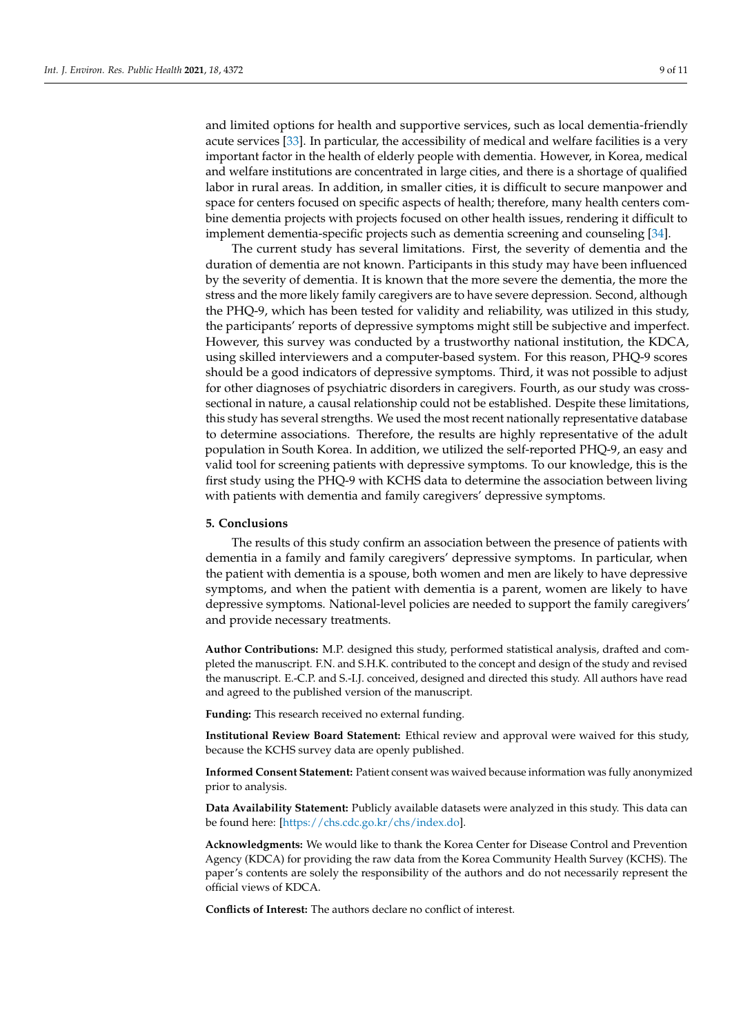and limited options for health and supportive services, such as local dementia-friendly acute services [\[33\]](#page-10-5). In particular, the accessibility of medical and welfare facilities is a very important factor in the health of elderly people with dementia. However, in Korea, medical and welfare institutions are concentrated in large cities, and there is a shortage of qualified labor in rural areas. In addition, in smaller cities, it is difficult to secure manpower and space for centers focused on specific aspects of health; therefore, many health centers combine dementia projects with projects focused on other health issues, rendering it difficult to implement dementia-specific projects such as dementia screening and counseling [\[34\]](#page-10-6).

The current study has several limitations. First, the severity of dementia and the duration of dementia are not known. Participants in this study may have been influenced by the severity of dementia. It is known that the more severe the dementia, the more the stress and the more likely family caregivers are to have severe depression. Second, although the PHQ-9, which has been tested for validity and reliability, was utilized in this study, the participants' reports of depressive symptoms might still be subjective and imperfect. However, this survey was conducted by a trustworthy national institution, the KDCA, using skilled interviewers and a computer-based system. For this reason, PHQ-9 scores should be a good indicators of depressive symptoms. Third, it was not possible to adjust for other diagnoses of psychiatric disorders in caregivers. Fourth, as our study was crosssectional in nature, a causal relationship could not be established. Despite these limitations, this study has several strengths. We used the most recent nationally representative database to determine associations. Therefore, the results are highly representative of the adult population in South Korea. In addition, we utilized the self-reported PHQ-9, an easy and valid tool for screening patients with depressive symptoms. To our knowledge, this is the first study using the PHQ-9 with KCHS data to determine the association between living with patients with dementia and family caregivers' depressive symptoms.

#### **5. Conclusions**

The results of this study confirm an association between the presence of patients with dementia in a family and family caregivers' depressive symptoms. In particular, when the patient with dementia is a spouse, both women and men are likely to have depressive symptoms, and when the patient with dementia is a parent, women are likely to have depressive symptoms. National-level policies are needed to support the family caregivers' and provide necessary treatments.

**Author Contributions:** M.P. designed this study, performed statistical analysis, drafted and completed the manuscript. F.N. and S.H.K. contributed to the concept and design of the study and revised the manuscript. E.-C.P. and S.-I.J. conceived, designed and directed this study. All authors have read and agreed to the published version of the manuscript.

**Funding:** This research received no external funding.

**Institutional Review Board Statement:** Ethical review and approval were waived for this study, because the KCHS survey data are openly published.

**Informed Consent Statement:** Patient consent was waived because information was fully anonymized prior to analysis.

**Data Availability Statement:** Publicly available datasets were analyzed in this study. This data can be found here: [\[https://chs.cdc.go.kr/chs/index.do\]](https://chs.cdc.go.kr/chs/index.do).

**Acknowledgments:** We would like to thank the Korea Center for Disease Control and Prevention Agency (KDCA) for providing the raw data from the Korea Community Health Survey (KCHS). The paper's contents are solely the responsibility of the authors and do not necessarily represent the official views of KDCA.

**Conflicts of Interest:** The authors declare no conflict of interest.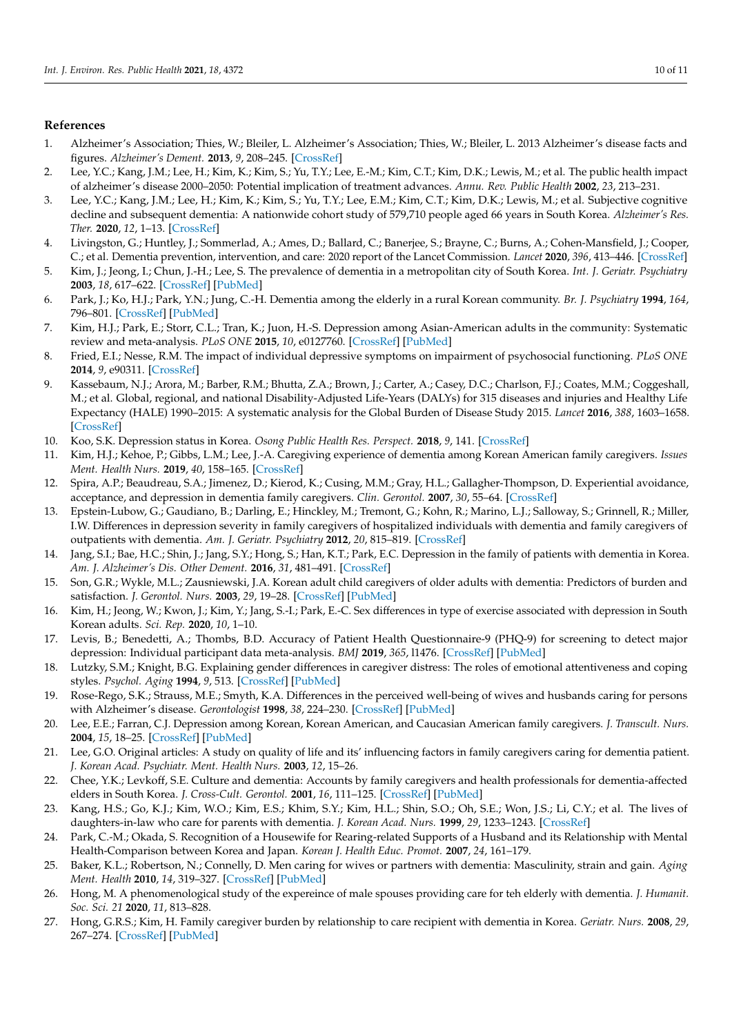## **References**

- <span id="page-9-0"></span>1. Alzheimer's Association; Thies, W.; Bleiler, L. Alzheimer's Association; Thies, W.; Bleiler, L. 2013 Alzheimer's disease facts and figures. *Alzheimer's Dement.* **2013**, *9*, 208–245. [\[CrossRef\]](http://doi.org/10.1016/j.jalz.2013.02.003)
- <span id="page-9-1"></span>2. Lee, Y.C.; Kang, J.M.; Lee, H.; Kim, K.; Kim, S.; Yu, T.Y.; Lee, E.-M.; Kim, C.T.; Kim, D.K.; Lewis, M.; et al. The public health impact of alzheimer's disease 2000–2050: Potential implication of treatment advances. *Annu. Rev. Public Health* **2002**, *23*, 213–231.
- <span id="page-9-2"></span>3. Lee, Y.C.; Kang, J.M.; Lee, H.; Kim, K.; Kim, S.; Yu, T.Y.; Lee, E.M.; Kim, C.T.; Kim, D.K.; Lewis, M.; et al. Subjective cognitive decline and subsequent dementia: A nationwide cohort study of 579,710 people aged 66 years in South Korea. *Alzheimer's Res. Ther.* **2020**, *12*, 1–13. [\[CrossRef\]](http://doi.org/10.1186/s13195-020-00618-1)
- <span id="page-9-3"></span>4. Livingston, G.; Huntley, J.; Sommerlad, A.; Ames, D.; Ballard, C.; Banerjee, S.; Brayne, C.; Burns, A.; Cohen-Mansfield, J.; Cooper, C.; et al. Dementia prevention, intervention, and care: 2020 report of the Lancet Commission. *Lancet* **2020**, *396*, 413–446. [\[CrossRef\]](http://doi.org/10.1016/S0140-6736(20)30367-6)
- <span id="page-9-4"></span>5. Kim, J.; Jeong, I.; Chun, J.-H.; Lee, S. The prevalence of dementia in a metropolitan city of South Korea. *Int. J. Geriatr. Psychiatry* **2003**, *18*, 617–622. [\[CrossRef\]](http://doi.org/10.1002/gps.897) [\[PubMed\]](http://www.ncbi.nlm.nih.gov/pubmed/12833306)
- <span id="page-9-5"></span>6. Park, J.; Ko, H.J.; Park, Y.N.; Jung, C.-H. Dementia among the elderly in a rural Korean community. *Br. J. Psychiatry* **1994**, *164*, 796–801. [\[CrossRef\]](http://doi.org/10.1192/bjp.164.6.796) [\[PubMed\]](http://www.ncbi.nlm.nih.gov/pubmed/7952986)
- <span id="page-9-6"></span>7. Kim, H.J.; Park, E.; Storr, C.L.; Tran, K.; Juon, H.-S. Depression among Asian-American adults in the community: Systematic review and meta-analysis. *PLoS ONE* **2015**, *10*, e0127760. [\[CrossRef\]](http://doi.org/10.1371/journal.pone.0127760) [\[PubMed\]](http://www.ncbi.nlm.nih.gov/pubmed/26029911)
- <span id="page-9-7"></span>8. Fried, E.I.; Nesse, R.M. The impact of individual depressive symptoms on impairment of psychosocial functioning. *PLoS ONE* **2014**, *9*, e90311. [\[CrossRef\]](http://doi.org/10.1371/journal.pone.0090311)
- <span id="page-9-8"></span>9. Kassebaum, N.J.; Arora, M.; Barber, R.M.; Bhutta, Z.A.; Brown, J.; Carter, A.; Casey, D.C.; Charlson, F.J.; Coates, M.M.; Coggeshall, M.; et al. Global, regional, and national Disability-Adjusted Life-Years (DALYs) for 315 diseases and injuries and Healthy Life Expectancy (HALE) 1990–2015: A systematic analysis for the Global Burden of Disease Study 2015. *Lancet* **2016**, *388*, 1603–1658. [\[CrossRef\]](http://doi.org/10.1016/S0140-6736(16)31460-X)
- <span id="page-9-9"></span>10. Koo, S.K. Depression status in Korea. *Osong Public Health Res. Perspect.* **2018**, *9*, 141. [\[CrossRef\]](http://doi.org/10.24171/j.phrp.2018.9.4.01)
- <span id="page-9-10"></span>11. Kim, H.J.; Kehoe, P.; Gibbs, L.M.; Lee, J.-A. Caregiving experience of dementia among Korean American family caregivers. *Issues Ment. Health Nurs.* **2019**, *40*, 158–165. [\[CrossRef\]](http://doi.org/10.1080/01612840.2018.1534909)
- <span id="page-9-11"></span>12. Spira, A.P.; Beaudreau, S.A.; Jimenez, D.; Kierod, K.; Cusing, M.M.; Gray, H.L.; Gallagher-Thompson, D. Experiential avoidance, acceptance, and depression in dementia family caregivers. *Clin. Gerontol.* **2007**, *30*, 55–64. [\[CrossRef\]](http://doi.org/10.1300/J018v30n04_04)
- <span id="page-9-12"></span>13. Epstein-Lubow, G.; Gaudiano, B.; Darling, E.; Hinckley, M.; Tremont, G.; Kohn, R.; Marino, L.J.; Salloway, S.; Grinnell, R.; Miller, I.W. Differences in depression severity in family caregivers of hospitalized individuals with dementia and family caregivers of outpatients with dementia. *Am. J. Geriatr. Psychiatry* **2012**, *20*, 815–819. [\[CrossRef\]](http://doi.org/10.1097/JGP.0b013e318235b62f)
- <span id="page-9-13"></span>14. Jang, S.I.; Bae, H.C.; Shin, J.; Jang, S.Y.; Hong, S.; Han, K.T.; Park, E.C. Depression in the family of patients with dementia in Korea. *Am. J. Alzheimer's Dis. Other Dement.* **2016**, *31*, 481–491. [\[CrossRef\]](http://doi.org/10.1177/1533317515628048)
- <span id="page-9-14"></span>15. Son, G.R.; Wykle, M.L.; Zausniewski, J.A. Korean adult child caregivers of older adults with dementia: Predictors of burden and satisfaction. *J. Gerontol. Nurs.* **2003**, *29*, 19–28. [\[CrossRef\]](http://doi.org/10.3928/0098-9134-20030101-09) [\[PubMed\]](http://www.ncbi.nlm.nih.gov/pubmed/12596334)
- <span id="page-9-15"></span>16. Kim, H.; Jeong, W.; Kwon, J.; Kim, Y.; Jang, S.-I.; Park, E.-C. Sex differences in type of exercise associated with depression in South Korean adults. *Sci. Rep.* **2020**, *10*, 1–10.
- <span id="page-9-16"></span>17. Levis, B.; Benedetti, A.; Thombs, B.D. Accuracy of Patient Health Questionnaire-9 (PHQ-9) for screening to detect major depression: Individual participant data meta-analysis. *BMJ* **2019**, *365*, l1476. [\[CrossRef\]](http://doi.org/10.1136/bmj.l1476) [\[PubMed\]](http://www.ncbi.nlm.nih.gov/pubmed/30967483)
- <span id="page-9-17"></span>18. Lutzky, S.M.; Knight, B.G. Explaining gender differences in caregiver distress: The roles of emotional attentiveness and coping styles. *Psychol. Aging* **1994**, *9*, 513. [\[CrossRef\]](http://doi.org/10.1037/0882-7974.9.4.513) [\[PubMed\]](http://www.ncbi.nlm.nih.gov/pubmed/7893422)
- <span id="page-9-18"></span>19. Rose-Rego, S.K.; Strauss, M.E.; Smyth, K.A. Differences in the perceived well-being of wives and husbands caring for persons with Alzheimer's disease. *Gerontologist* **1998**, *38*, 224–230. [\[CrossRef\]](http://doi.org/10.1093/geront/38.2.224) [\[PubMed\]](http://www.ncbi.nlm.nih.gov/pubmed/9573667)
- <span id="page-9-19"></span>20. Lee, E.E.; Farran, C.J. Depression among Korean, Korean American, and Caucasian American family caregivers. *J. Transcult. Nurs.* **2004**, *15*, 18–25. [\[CrossRef\]](http://doi.org/10.1177/1043659603260010) [\[PubMed\]](http://www.ncbi.nlm.nih.gov/pubmed/14768412)
- <span id="page-9-20"></span>21. Lee, G.O. Original articles: A study on quality of life and its' influencing factors in family caregivers caring for dementia patient. *J. Korean Acad. Psychiatr. Ment. Health Nurs.* **2003**, *12*, 15–26.
- <span id="page-9-21"></span>22. Chee, Y.K.; Levkoff, S.E. Culture and dementia: Accounts by family caregivers and health professionals for dementia-affected elders in South Korea. *J. Cross-Cult. Gerontol.* **2001**, *16*, 111–125. [\[CrossRef\]](http://doi.org/10.1023/A:1010640527713) [\[PubMed\]](http://www.ncbi.nlm.nih.gov/pubmed/14617985)
- <span id="page-9-22"></span>23. Kang, H.S.; Go, K.J.; Kim, W.O.; Kim, E.S.; Khim, S.Y.; Kim, H.L.; Shin, S.O.; Oh, S.E.; Won, J.S.; Li, C.Y.; et al. The lives of daughters-in-law who care for parents with dementia. *J. Korean Acad. Nurs.* **1999**, *29*, 1233–1243. [\[CrossRef\]](http://doi.org/10.4040/jkan.1999.29.6.1233)
- <span id="page-9-23"></span>24. Park, C.-M.; Okada, S. Recognition of a Housewife for Rearing-related Supports of a Husband and its Relationship with Mental Health-Comparison between Korea and Japan. *Korean J. Health Educ. Promot.* **2007**, *24*, 161–179.
- <span id="page-9-24"></span>25. Baker, K.L.; Robertson, N.; Connelly, D. Men caring for wives or partners with dementia: Masculinity, strain and gain. *Aging Ment. Health* **2010**, *14*, 319–327. [\[CrossRef\]](http://doi.org/10.1080/13607860903228788) [\[PubMed\]](http://www.ncbi.nlm.nih.gov/pubmed/20425651)
- <span id="page-9-25"></span>26. Hong, M. A phenomenological study of the expereince of male spouses providing care for teh elderly with dementia. *J. Humanit. Soc. Sci. 21* **2020**, *11*, 813–828.
- <span id="page-9-26"></span>27. Hong, G.R.S.; Kim, H. Family caregiver burden by relationship to care recipient with dementia in Korea. *Geriatr. Nurs.* **2008**, *29*, 267–274. [\[CrossRef\]](http://doi.org/10.1016/j.gerinurse.2007.09.004) [\[PubMed\]](http://www.ncbi.nlm.nih.gov/pubmed/18694702)